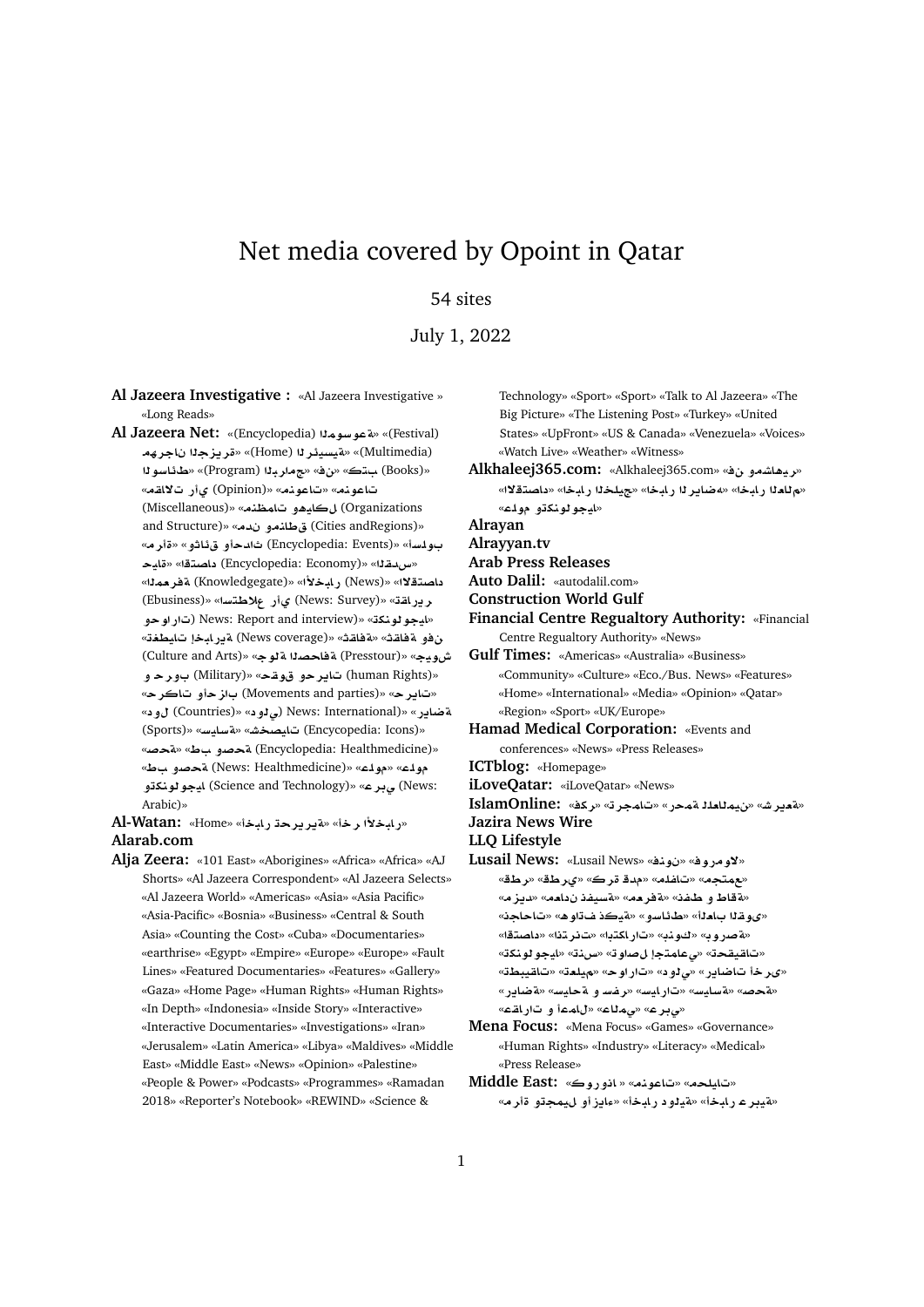# Net media covered by Opoint in Qatar

## 54 sites

### July 1, 2022

**Al Jazeera Investigative :** «Al Jazeera Investigative » «Long Reads»

**Al Jazeera Net:** «(Encyclopedia) **mwFwT**» «(Festival) **hrA z§r**» «(Home) **r¶ysyT**» «(Multimedia) **wFA¶X**» «(Program) **br**» «» «**t**  (Books)» «**qA¯ C©** (Opinion)» «**nwA**» «**nwA** (Miscellaneous)» «**n\mA ¤¡yA** (Organizations and Structure)» «في طانعو ندم» «(and Structure بولسأ» «(Encyclopedia: Events) ثال*دح*أو ق**ئاثو » «**ةأر مه **yA**» «**tOA** (Encyclopedia: Economy)» «**qdx**» داصت**قلا**» «News) رابخلاًا» «Knowledgegate) ةفرممل<sup>ا</sup>» (Ebusiness)» «**FtW® C©** (News: Survey)» «**qAC§r ¤wC**) News: Report and interview)» «**knwwyA**» «**WyA bAC§T** (News coverage)» «**qAT**» «**qAT ¤** (Culture and Arts)» «**wT OAT** (Presstour)» «**ywM** «(human Rights) ت**ایر** *ح***و قوقح» «(Military) بور ح** و «**rA ¤z**  (Movements and parties)» «**r§A**» « **¤** (Countries)» « **¤¨**) News: International)» «**C§ART** (Sports)» «**FyAFT**» «**JOyA** (Encycopedia: Icons)» «ه**تحصر بن** «Va» «A من الله» «ق**حص**» (Encyclopedia: Healthmedicine)» «**V ¤}T** (News: Healthmedicine)» «**lw**» «**lw ¤knwwyA** (Science and Technology)» «**r¨** (News: Arabic)»

«رابخلأ رخأ» «تيريرحة رابخأ» «Home» k**l-Watan: Alarab.com**

**Alja Zeera:** «101 East» «Aborigines» «Africa» «Africa» «AJ Shorts» «Al Jazeera Correspondent» «Al Jazeera Selects» «Al Jazeera World» «Americas» «Asia» «Asia Pacific» «Asia-Pacific» «Bosnia» «Business» «Central & South Asia» «Counting the Cost» «Cuba» «Documentaries» «earthrise» «Egypt» «Empire» «Europe» «Europe» «Fault Lines» «Featured Documentaries» «Features» «Gallery» «Gaza» «Home Page» «Human Rights» «Human Rights» «In Depth» «Indonesia» «Inside Story» «Interactive» «Interactive Documentaries» «Investigations» «Iran» «Jerusalem» «Latin America» «Libya» «Maldives» «Middle East» «Middle East» «News» «Opinion» «Palestine» «People & Power» «Podcasts» «Programmes» «Ramadan 2018» «Reporter's Notebook» «REWIND» «Science &

Technology» «Sport» «Sport» «Talk to Al Jazeera» «The Big Picture» «The Listening Post» «Turkey» «United States» «UpFront» «US & Canada» «Venezuela» «Voices» «Watch Live» «Weather» «Witness»

**Alkhaleej365.com:** «Alkhaleej365.com» « **¤KA¡yr**» «م للعلا رابخا» «مضاير لـ رابخا» «جيلخلا رابخا» «داصتقلاا» «**ايجو لونكڌو مول**ـّ»

**Alrayan**

**Alrayyan.tv**

**Arab Press Releases**

**Auto Dalil:** «autodalil.com»

- **Construction World Gulf**
- **Financial Centre Regualtory Authority:** «Financial Centre Regualtory Authority» «News»

**Gulf Times:** «Americas» «Australia» «Business» «Community» «Culture» «Eco./Bus. News» «Features» «Home» «International» «Media» «Opinion» «Qatar» «Region» «Sport» «UK/Europe»

**Hamad Medical Corporation:** «Events and conferences» «News» «Press Releases»

- **ICTblog:** «Homepage»
- **iLoveQatar:** «iLoveQatar» «News»

**IslamOnline:** «**kr**» «**rmA**» «**CmT l`Amy**» «**Jr§`T**»

**Jazira News Wire**

**LLQ Lifestyle**

- **Lusail News:** «Lusail News» «**nw** » «**wCw¯**» «مهتجم» «تافله» «مدق*ة*رك» «ىرطق» «رطق» «نةقاط و طفن» «ن*قو*هم» «ن*قسيفذ ن*داهم» «ديزم» «ي و قـ 11 با**مـ**1أ» «طـ ئـاسو » «ةيـكـذ فـ تـاو هـ» «تـاحاجـن» «ه صروب» «كونب» «تاراكتبا» «ت نر تنا» «داصتقا» «تاقيقحة» «يعامتجإ ل0صاوته» «سنة» «ايجو لونكة» «مى دؤ تاضاير» «ي *دو*د» «تار أو حه «ميلدة» «تاقيبطة» «ه**جرمه» «به سایسه» «تار ایسه «ر فس و هجایسه «<mark>ه ضای</mark>ر »** «مى بر ع» «ي ملاع» «للمما و تار اقته»
- **Mena Focus:** «Mena Focus» «Games» «Governance» «Human Rights» «Industry» «Literacy» «Medical» «Press Release»
- **Middle East:** «تايلحه» «تاعونه» «باذو روك» **Middle East:** «هيدر عار ابلخأ» «هيلواد رابلخأ» «عادز أو ال*ليمج*تو اقأرام»